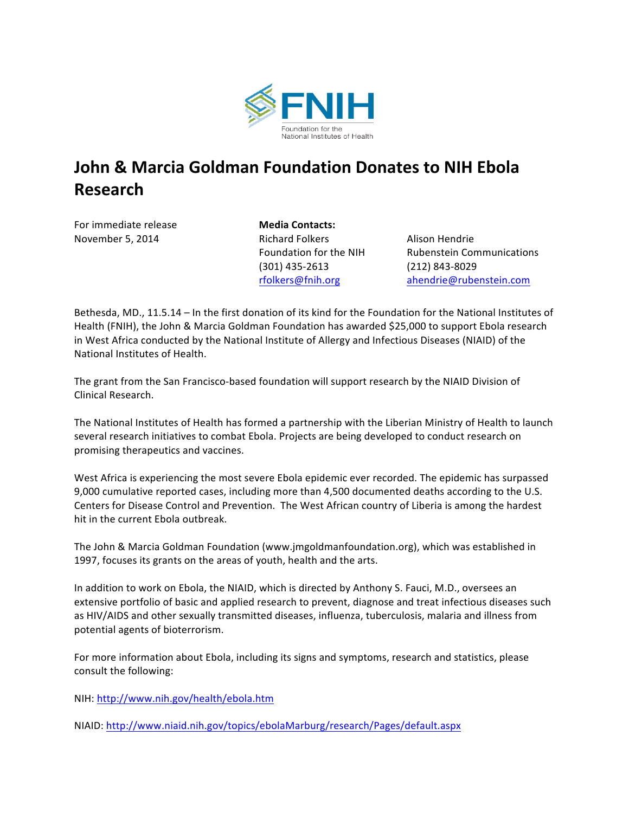

## **John & Marcia Goldman Foundation Donates to NIH Ebola Research**

For immediate release **Media Contacts:** 

November 5, 2014 Richard Folkers Alison Hendrie (301) 435-2613 (212) 843-8029

Foundation for the NIH Rubenstein Communications rfolkers@fnih.org ahendrie@rubenstein.com

Bethesda, MD., 11.5.14 – In the first donation of its kind for the Foundation for the National Institutes of Health (FNIH), the John & Marcia Goldman Foundation has awarded \$25,000 to support Ebola research in West Africa conducted by the National Institute of Allergy and Infectious Diseases (NIAID) of the National Institutes of Health.

The grant from the San Francisco-based foundation will support research by the NIAID Division of Clinical Research.

The National Institutes of Health has formed a partnership with the Liberian Ministry of Health to launch several research initiatives to combat Ebola. Projects are being developed to conduct research on promising therapeutics and vaccines.

West Africa is experiencing the most severe Ebola epidemic ever recorded. The epidemic has surpassed 9,000 cumulative reported cases, including more than 4,500 documented deaths according to the U.S. Centers for Disease Control and Prevention. The West African country of Liberia is among the hardest hit in the current Ebola outbreak.

The John & Marcia Goldman Foundation (www.jmgoldmanfoundation.org), which was established in 1997, focuses its grants on the areas of youth, health and the arts.

In addition to work on Ebola, the NIAID, which is directed by Anthony S. Fauci, M.D., oversees an extensive portfolio of basic and applied research to prevent, diagnose and treat infectious diseases such as HIV/AIDS and other sexually transmitted diseases, influenza, tuberculosis, malaria and illness from potential agents of bioterrorism.

For more information about Ebola, including its signs and symptoms, research and statistics, please consult the following:

NIH: http://www.nih.gov/health/ebola.htm

NIAID:\$http://www.niaid.nih.gov/topics/ebolaMarburg/research/Pages/default.aspx